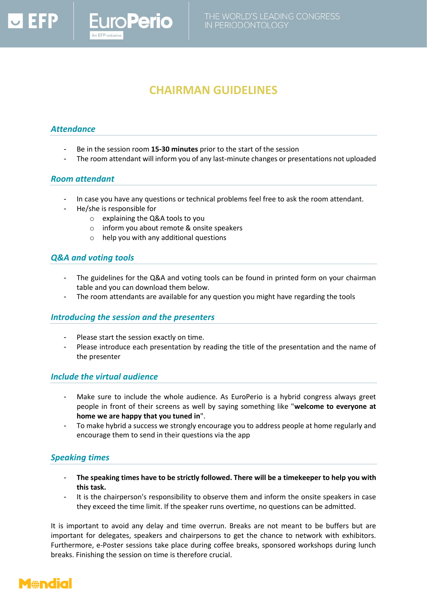# **CHAIRMAN GUIDELINES**

#### *Attendance*

- Be in the session room **15-30 minutes** prior to the start of the session
- The room attendant will inform you of any last-minute changes or presentations not uploaded

#### *Room attendant*

- In case you have any questions or technical problems feel free to ask the room attendant.
- He/she is responsible for
	- o explaining the Q&A tools to you

*uroPerio* 

- o inform you about remote & onsite speakers
- o help you with any additional questions

## *Q&A and voting tools*

- The guidelines for the Q&A and voting tools can be found in printed form on your chairman table and you can download them below.
- The room attendants are available for any question you might have regarding the tools

#### *Introducing the session and the presenters*

- Please start the session exactly on time.
- Please introduce each presentation by reading the title of the presentation and the name of the presenter

#### *Include the virtual audience*

- Make sure to include the whole audience. As EuroPerio is a hybrid congress always greet people in front of their screens as well by saying something like "**welcome to everyone at home we are happy that you tuned in**".
- To make hybrid a success we strongly encourage you to address people at home regularly and encourage them to send in their questions via the app

## *Speaking times*

- **The speaking times have to be strictly followed. There will be a timekeeper to help you with this task.**
- It is the chairperson's responsibility to observe them and inform the onsite speakers in case they exceed the time limit. If the speaker runs overtime, no questions can be admitted.

It is important to avoid any delay and time overrun. Breaks are not meant to be buffers but are important for delegates, speakers and chairpersons to get the chance to network with exhibitors. Furthermore, e-Poster sessions take place during coffee breaks, sponsored workshops during lunch breaks. Finishing the session on time is therefore crucial.